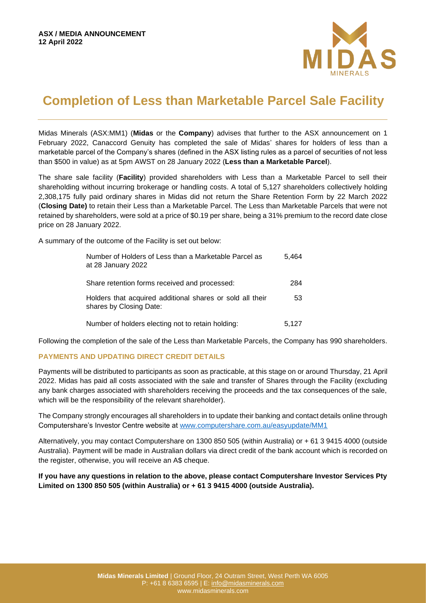

# **Completion of Less than Marketable Parcel Sale Facility**

Midas Minerals (ASX:MM1) (**Midas** or the **Company**) advises that further to the ASX announcement on 1 February 2022, Canaccord Genuity has completed the sale of Midas' shares for holders of less than a marketable parcel of the Company's shares (defined in the ASX listing rules as a parcel of securities of not less than \$500 in value) as at 5pm AWST on 28 January 2022 (**Less than a Marketable Parcel**).

The share sale facility (**Facility**) provided shareholders with Less than a Marketable Parcel to sell their shareholding without incurring brokerage or handling costs. A total of 5,127 shareholders collectively holding 2,308,175 fully paid ordinary shares in Midas did not return the Share Retention Form by 22 March 2022 (**Closing Date)** to retain their Less than a Marketable Parcel. The Less than Marketable Parcels that were not retained by shareholders, were sold at a price of \$0.19 per share, being a 31% premium to the record date close price on 28 January 2022.

A summary of the outcome of the Facility is set out below:

| Number of Holders of Less than a Marketable Parcel as<br>at 28 January 2022          | 5.464 |
|--------------------------------------------------------------------------------------|-------|
| Share retention forms received and processed:                                        | 284   |
| Holders that acquired additional shares or sold all their<br>shares by Closing Date: | 53    |
| Number of holders electing not to retain holding:                                    | 5,127 |

Following the completion of the sale of the Less than Marketable Parcels, the Company has 990 shareholders.

## **PAYMENTS AND UPDATING DIRECT CREDIT DETAILS**

Payments will be distributed to participants as soon as practicable, at this stage on or around Thursday, 21 April 2022. Midas has paid all costs associated with the sale and transfer of Shares through the Facility (excluding any bank charges associated with shareholders receiving the proceeds and the tax consequences of the sale, which will be the responsibility of the relevant shareholder).

The Company strongly encourages all shareholders in to update their banking and contact details online through Computershare's Investor Centre website at [www.computershare.com.au/easyupdate/MM1](http://www.computershare.com.au/easyupdate/MM1)

Alternatively, you may contact Computershare on 1300 850 505 (within Australia) or + 61 3 9415 4000 (outside Australia). Payment will be made in Australian dollars via direct credit of the bank account which is recorded on the register, otherwise, you will receive an A\$ cheque.

**If you have any questions in relation to the above, please contact Computershare Investor Services Pty Limited on 1300 850 505 (within Australia) or + 61 3 9415 4000 (outside Australia).**